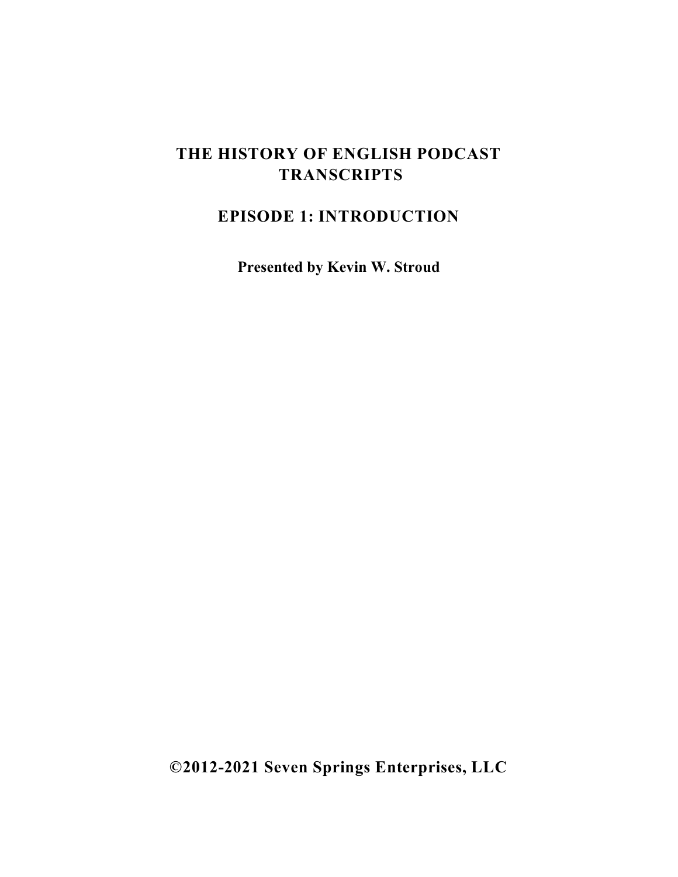# **THE HISTORY OF ENGLISH PODCAST TRANSCRIPTS**

# **EPISODE 1: INTRODUCTION**

**Presented by Kevin W. Stroud**

**©2012-2021 Seven Springs Enterprises, LLC**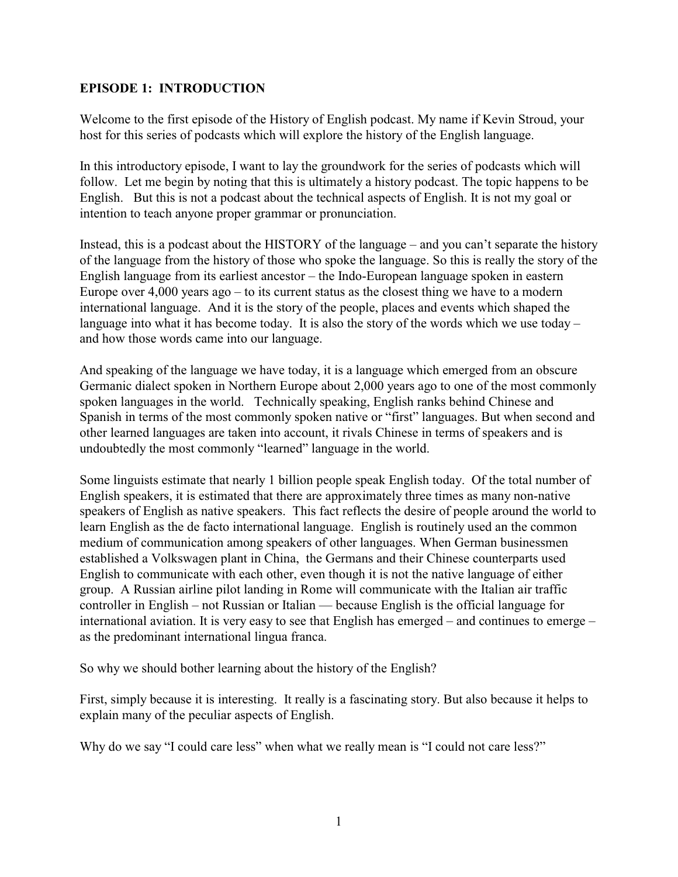## **EPISODE 1: INTRODUCTION**

Welcome to the first episode of the History of English podcast. My name if Kevin Stroud, your host for this series of podcasts which will explore the history of the English language.

In this introductory episode, I want to lay the groundwork for the series of podcasts which will follow. Let me begin by noting that this is ultimately a history podcast. The topic happens to be English. But this is not a podcast about the technical aspects of English. It is not my goal or intention to teach anyone proper grammar or pronunciation.

Instead, this is a podcast about the HISTORY of the language – and you can't separate the history of the language from the history of those who spoke the language. So this is really the story of the English language from its earliest ancestor – the Indo-European language spoken in eastern Europe over  $4,000$  years ago – to its current status as the closest thing we have to a modern international language. And it is the story of the people, places and events which shaped the language into what it has become today. It is also the story of the words which we use today – and how those words came into our language.

And speaking of the language we have today, it is a language which emerged from an obscure Germanic dialect spoken in Northern Europe about 2,000 years ago to one of the most commonly spoken languages in the world. Technically speaking, English ranks behind Chinese and Spanish in terms of the most commonly spoken native or "first" languages. But when second and other learned languages are taken into account, it rivals Chinese in terms of speakers and is undoubtedly the most commonly "learned" language in the world.

Some linguists estimate that nearly 1 billion people speak English today. Of the total number of English speakers, it is estimated that there are approximately three times as many non-native speakers of English as native speakers. This fact reflects the desire of people around the world to learn English as the de facto international language. English is routinely used an the common medium of communication among speakers of other languages. When German businessmen established a Volkswagen plant in China, the Germans and their Chinese counterparts used English to communicate with each other, even though it is not the native language of either group. A Russian airline pilot landing in Rome will communicate with the Italian air traffic controller in English – not Russian or Italian — because English is the official language for international aviation. It is very easy to see that English has emerged – and continues to emerge – as the predominant international lingua franca.

So why we should bother learning about the history of the English?

First, simply because it is interesting. It really is a fascinating story. But also because it helps to explain many of the peculiar aspects of English.

Why do we say "I could care less" when what we really mean is "I could not care less?"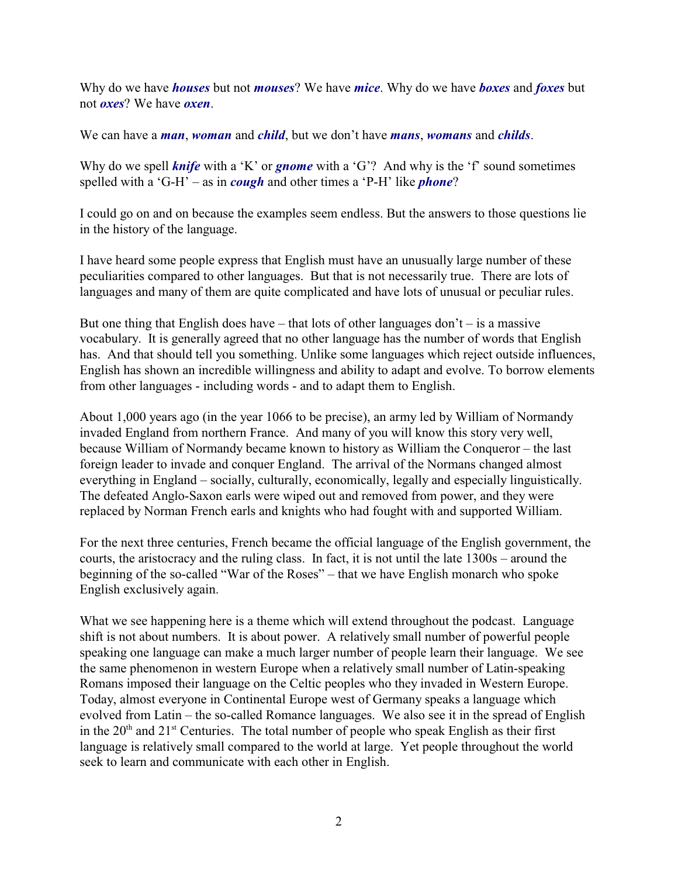Why do we have *houses* but not *mouses*? We have *mice*. Why do we have *boxes* and *foxes* but not *oxes*? We have *oxen*.

We can have a *man*, *woman* and *child*, but we don't have *mans*, *womans* and *childs*.

Why do we spell *knife* with a 'K' or *gnome* with a 'G'? And why is the 'f' sound sometimes spelled with a 'G-H' – as in *cough* and other times a 'P-H' like *phone*?

I could go on and on because the examples seem endless. But the answers to those questions lie in the history of the language.

I have heard some people express that English must have an unusually large number of these peculiarities compared to other languages. But that is not necessarily true. There are lots of languages and many of them are quite complicated and have lots of unusual or peculiar rules.

But one thing that English does have – that lots of other languages don't – is a massive vocabulary. It is generally agreed that no other language has the number of words that English has. And that should tell you something. Unlike some languages which reject outside influences, English has shown an incredible willingness and ability to adapt and evolve. To borrow elements from other languages - including words - and to adapt them to English.

About 1,000 years ago (in the year 1066 to be precise), an army led by William of Normandy invaded England from northern France. And many of you will know this story very well, because William of Normandy became known to history as William the Conqueror – the last foreign leader to invade and conquer England. The arrival of the Normans changed almost everything in England – socially, culturally, economically, legally and especially linguistically. The defeated Anglo-Saxon earls were wiped out and removed from power, and they were replaced by Norman French earls and knights who had fought with and supported William.

For the next three centuries, French became the official language of the English government, the courts, the aristocracy and the ruling class. In fact, it is not until the late 1300s – around the beginning of the so-called "War of the Roses" – that we have English monarch who spoke English exclusively again.

What we see happening here is a theme which will extend throughout the podcast. Language shift is not about numbers. It is about power. A relatively small number of powerful people speaking one language can make a much larger number of people learn their language. We see the same phenomenon in western Europe when a relatively small number of Latin-speaking Romans imposed their language on the Celtic peoples who they invaded in Western Europe. Today, almost everyone in Continental Europe west of Germany speaks a language which evolved from Latin – the so-called Romance languages. We also see it in the spread of English in the  $20<sup>th</sup>$  and  $21<sup>st</sup>$  Centuries. The total number of people who speak English as their first language is relatively small compared to the world at large. Yet people throughout the world seek to learn and communicate with each other in English.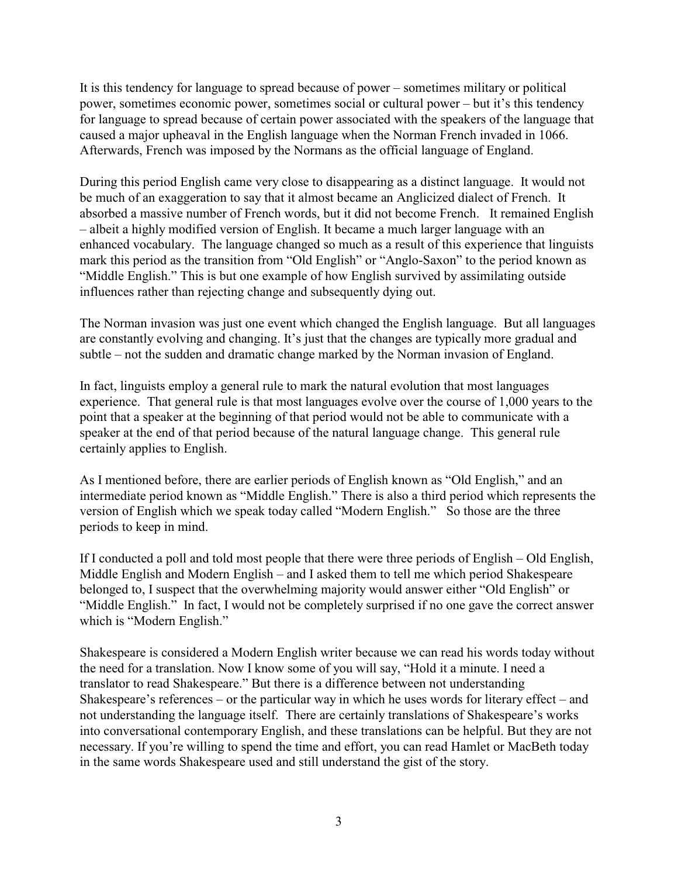It is this tendency for language to spread because of power – sometimes military or political power, sometimes economic power, sometimes social or cultural power – but it's this tendency for language to spread because of certain power associated with the speakers of the language that caused a major upheaval in the English language when the Norman French invaded in 1066. Afterwards, French was imposed by the Normans as the official language of England.

During this period English came very close to disappearing as a distinct language. It would not be much of an exaggeration to say that it almost became an Anglicized dialect of French. It absorbed a massive number of French words, but it did not become French. It remained English – albeit a highly modified version of English. It became a much larger language with an enhanced vocabulary. The language changed so much as a result of this experience that linguists mark this period as the transition from "Old English" or "Anglo-Saxon" to the period known as "Middle English." This is but one example of how English survived by assimilating outside influences rather than rejecting change and subsequently dying out.

The Norman invasion was just one event which changed the English language. But all languages are constantly evolving and changing. It's just that the changes are typically more gradual and subtle – not the sudden and dramatic change marked by the Norman invasion of England.

In fact, linguists employ a general rule to mark the natural evolution that most languages experience. That general rule is that most languages evolve over the course of 1,000 years to the point that a speaker at the beginning of that period would not be able to communicate with a speaker at the end of that period because of the natural language change. This general rule certainly applies to English.

As I mentioned before, there are earlier periods of English known as "Old English," and an intermediate period known as "Middle English." There is also a third period which represents the version of English which we speak today called "Modern English." So those are the three periods to keep in mind.

If I conducted a poll and told most people that there were three periods of English – Old English, Middle English and Modern English – and I asked them to tell me which period Shakespeare belonged to, I suspect that the overwhelming majority would answer either "Old English" or "Middle English." In fact, I would not be completely surprised if no one gave the correct answer which is "Modern English."

Shakespeare is considered a Modern English writer because we can read his words today without the need for a translation. Now I know some of you will say, "Hold it a minute. I need a translator to read Shakespeare." But there is a difference between not understanding Shakespeare's references – or the particular way in which he uses words for literary effect – and not understanding the language itself. There are certainly translations of Shakespeare's works into conversational contemporary English, and these translations can be helpful. But they are not necessary. If you're willing to spend the time and effort, you can read Hamlet or MacBeth today in the same words Shakespeare used and still understand the gist of the story.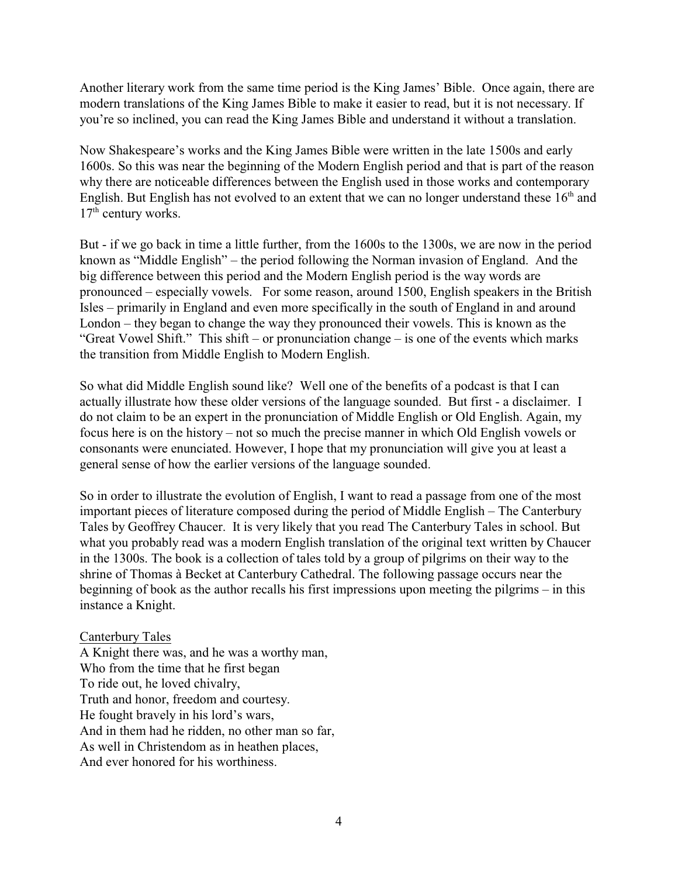Another literary work from the same time period is the King James' Bible. Once again, there are modern translations of the King James Bible to make it easier to read, but it is not necessary. If you're so inclined, you can read the King James Bible and understand it without a translation.

Now Shakespeare's works and the King James Bible were written in the late 1500s and early 1600s. So this was near the beginning of the Modern English period and that is part of the reason why there are noticeable differences between the English used in those works and contemporary English. But English has not evolved to an extent that we can no longer understand these  $16<sup>th</sup>$  and  $17<sup>th</sup>$  century works.

But - if we go back in time a little further, from the 1600s to the 1300s, we are now in the period known as "Middle English" – the period following the Norman invasion of England. And the big difference between this period and the Modern English period is the way words are pronounced – especially vowels. For some reason, around 1500, English speakers in the British Isles – primarily in England and even more specifically in the south of England in and around London – they began to change the way they pronounced their vowels. This is known as the "Great Vowel Shift." This shift – or pronunciation change – is one of the events which marks the transition from Middle English to Modern English.

So what did Middle English sound like? Well one of the benefits of a podcast is that I can actually illustrate how these older versions of the language sounded. But first - a disclaimer. I do not claim to be an expert in the pronunciation of Middle English or Old English. Again, my focus here is on the history – not so much the precise manner in which Old English vowels or consonants were enunciated. However, I hope that my pronunciation will give you at least a general sense of how the earlier versions of the language sounded.

So in order to illustrate the evolution of English, I want to read a passage from one of the most important pieces of literature composed during the period of Middle English – The Canterbury Tales by Geoffrey Chaucer. It is very likely that you read The Canterbury Tales in school. But what you probably read was a modern English translation of the original text written by Chaucer in the 1300s. The book is a collection of tales told by a group of pilgrims on their way to the shrine of Thomas à Becket at Canterbury Cathedral. The following passage occurs near the beginning of book as the author recalls his first impressions upon meeting the pilgrims – in this instance a Knight.

### Canterbury Tales

A Knight there was, and he was a worthy man, Who from the time that he first began To ride out, he loved chivalry, Truth and honor, freedom and courtesy. He fought bravely in his lord's wars, And in them had he ridden, no other man so far, As well in Christendom as in heathen places, And ever honored for his worthiness.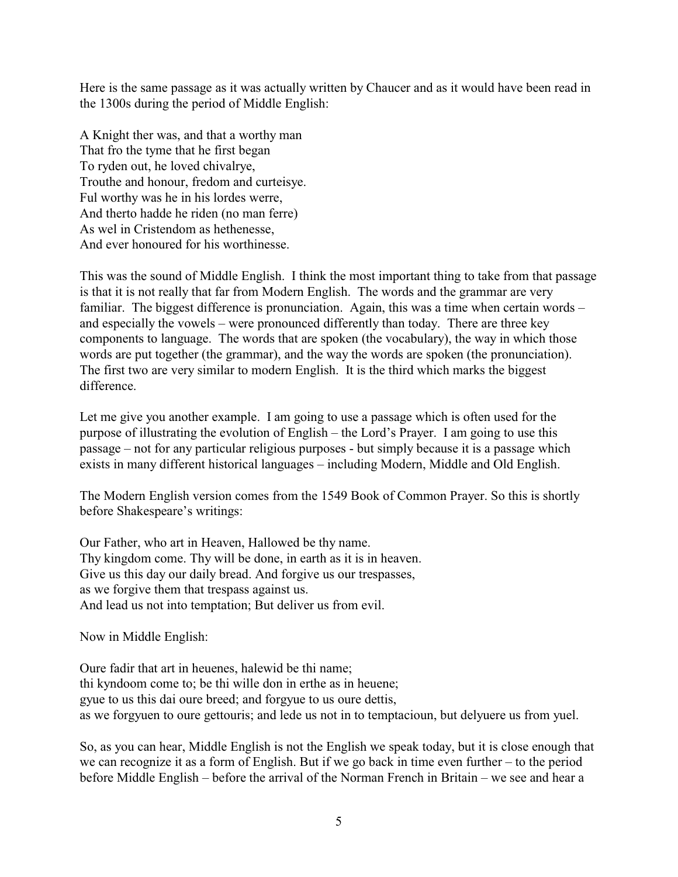Here is the same passage as it was actually written by Chaucer and as it would have been read in the 1300s during the period of Middle English:

A Knight ther was, and that a worthy man That fro the tyme that he first began To ryden out, he loved chivalrye, Trouthe and honour, fredom and curteisye. Ful worthy was he in his lordes werre, And therto hadde he riden (no man ferre) As wel in Cristendom as hethenesse, And ever honoured for his worthinesse.

This was the sound of Middle English. I think the most important thing to take from that passage is that it is not really that far from Modern English. The words and the grammar are very familiar. The biggest difference is pronunciation. Again, this was a time when certain words – and especially the vowels – were pronounced differently than today. There are three key components to language. The words that are spoken (the vocabulary), the way in which those words are put together (the grammar), and the way the words are spoken (the pronunciation). The first two are very similar to modern English. It is the third which marks the biggest difference.

Let me give you another example. I am going to use a passage which is often used for the purpose of illustrating the evolution of English – the Lord's Prayer. I am going to use this passage – not for any particular religious purposes - but simply because it is a passage which exists in many different historical languages – including Modern, Middle and Old English.

The Modern English version comes from the 1549 Book of Common Prayer. So this is shortly before Shakespeare's writings:

Our Father, who art in Heaven, Hallowed be thy name. Thy kingdom come. Thy will be done, in earth as it is in heaven. Give us this day our daily bread. And forgive us our trespasses, as we forgive them that trespass against us. And lead us not into temptation; But deliver us from evil.

Now in Middle English:

Oure fadir that art in heuenes, halewid be thi name; thi kyndoom come to; be thi wille don in erthe as in heuene; gyue to us this dai oure breed; and forgyue to us oure dettis, as we forgyuen to oure gettouris; and lede us not in to temptacioun, but delyuere us from yuel.

So, as you can hear, Middle English is not the English we speak today, but it is close enough that we can recognize it as a form of English. But if we go back in time even further – to the period before Middle English – before the arrival of the Norman French in Britain – we see and hear a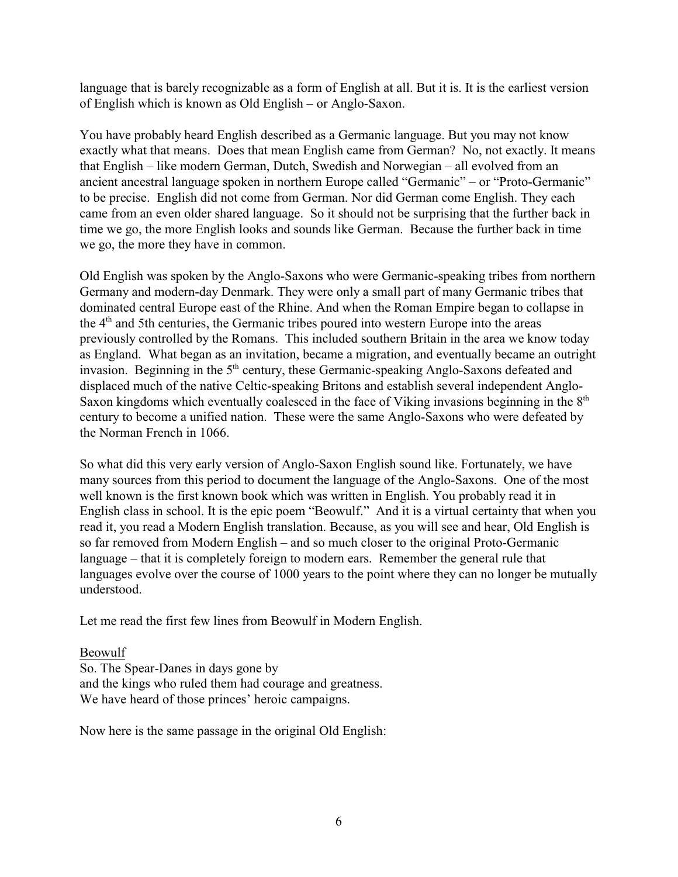language that is barely recognizable as a form of English at all. But it is. It is the earliest version of English which is known as Old English – or Anglo-Saxon.

You have probably heard English described as a Germanic language. But you may not know exactly what that means. Does that mean English came from German? No, not exactly. It means that English – like modern German, Dutch, Swedish and Norwegian – all evolved from an ancient ancestral language spoken in northern Europe called "Germanic" – or "Proto-Germanic" to be precise. English did not come from German. Nor did German come English. They each came from an even older shared language. So it should not be surprising that the further back in time we go, the more English looks and sounds like German. Because the further back in time we go, the more they have in common.

Old English was spoken by the Anglo-Saxons who were Germanic-speaking tribes from northern Germany and modern-day Denmark. They were only a small part of many Germanic tribes that dominated central Europe east of the Rhine. And when the Roman Empire began to collapse in the  $4<sup>th</sup>$  and 5th centuries, the Germanic tribes poured into western Europe into the areas previously controlled by the Romans. This included southern Britain in the area we know today as England. What began as an invitation, became a migration, and eventually became an outright invasion. Beginning in the  $5<sup>th</sup>$  century, these Germanic-speaking Anglo-Saxons defeated and displaced much of the native Celtic-speaking Britons and establish several independent Anglo-Saxon kingdoms which eventually coalesced in the face of Viking invasions beginning in the 8<sup>th</sup> century to become a unified nation. These were the same Anglo-Saxons who were defeated by the Norman French in 1066.

So what did this very early version of Anglo-Saxon English sound like. Fortunately, we have many sources from this period to document the language of the Anglo-Saxons. One of the most well known is the first known book which was written in English. You probably read it in English class in school. It is the epic poem "Beowulf." And it is a virtual certainty that when you read it, you read a Modern English translation. Because, as you will see and hear, Old English is so far removed from Modern English – and so much closer to the original Proto-Germanic language – that it is completely foreign to modern ears. Remember the general rule that languages evolve over the course of 1000 years to the point where they can no longer be mutually understood.

Let me read the first few lines from Beowulf in Modern English.

### Beowulf

So. The Spear-Danes in days gone by and the kings who ruled them had courage and greatness. We have heard of those princes' heroic campaigns.

Now here is the same passage in the original Old English: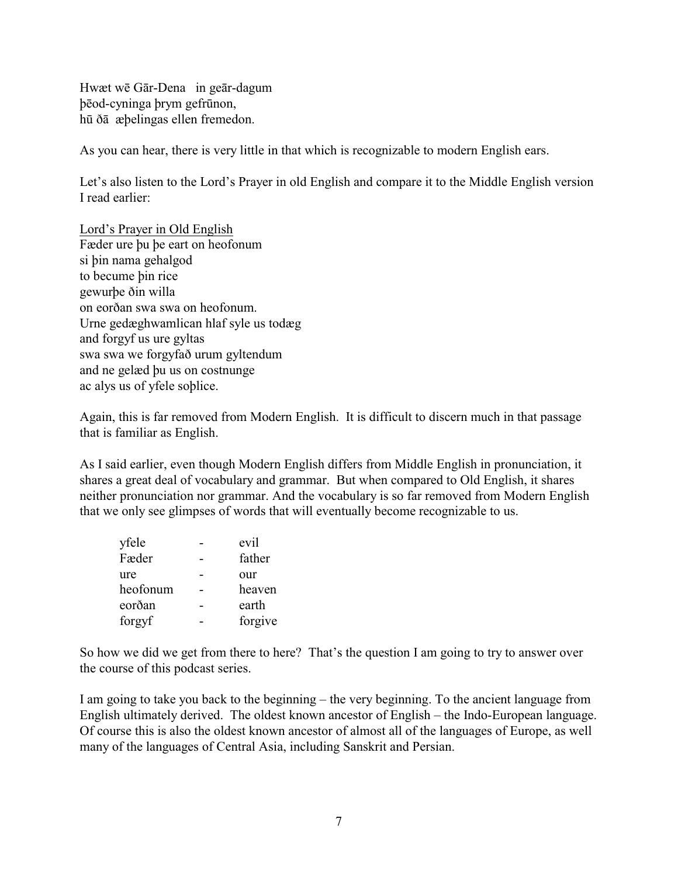Hwæt wē Gār-Dena in geār-dagum þçod-cyninga þrym gefrûnon, hû ðâ æþelingas ellen fremedon.

As you can hear, there is very little in that which is recognizable to modern English ears.

Let's also listen to the Lord's Prayer in old English and compare it to the Middle English version I read earlier:

Lord's Prayer in Old English Fæder ure þu þe eart on heofonum si þin nama gehalgod to becume þin rice gewurþe ðin willa on eorðan swa swa on heofonum. Urne gedæghwamlican hlaf syle us todæg and forgyf us ure gyltas swa swa we forgyfað urum gyltendum and ne gelæd þu us on costnunge ac alys us of yfele soþlice.

Again, this is far removed from Modern English. It is difficult to discern much in that passage that is familiar as English.

As I said earlier, even though Modern English differs from Middle English in pronunciation, it shares a great deal of vocabulary and grammar. But when compared to Old English, it shares neither pronunciation nor grammar. And the vocabulary is so far removed from Modern English that we only see glimpses of words that will eventually become recognizable to us.

| yfele    | evil    |
|----------|---------|
| Fæder    | father  |
| ure      | our     |
| heofonum | heaven  |
| eorðan   | earth   |
| forgyf   | forgive |

So how we did we get from there to here? That's the question I am going to try to answer over the course of this podcast series.

I am going to take you back to the beginning – the very beginning. To the ancient language from English ultimately derived. The oldest known ancestor of English – the Indo-European language. Of course this is also the oldest known ancestor of almost all of the languages of Europe, as well many of the languages of Central Asia, including Sanskrit and Persian.